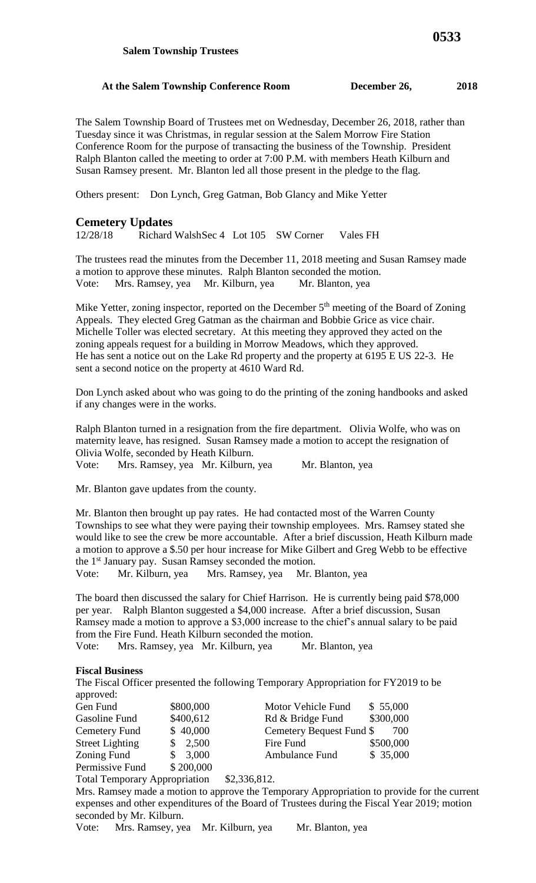## **At the Salem Township Conference Room December 26, 2018**

The Salem Township Board of Trustees met on Wednesday, December 26, 2018, rather than Tuesday since it was Christmas, in regular session at the Salem Morrow Fire Station Conference Room for the purpose of transacting the business of the Township. President Ralph Blanton called the meeting to order at 7:00 P.M. with members Heath Kilburn and Susan Ramsey present. Mr. Blanton led all those present in the pledge to the flag.

Others present: Don Lynch, Greg Gatman, Bob Glancy and Mike Yetter

## **Cemetery Updates**

12/28/18 Richard WalshSec 4 Lot 105 SW Corner Vales FH

The trustees read the minutes from the December 11, 2018 meeting and Susan Ramsey made a motion to approve these minutes. Ralph Blanton seconded the motion. Vote: Mrs. Ramsey, yea Mr. Kilburn, yea Mr. Blanton, yea

Mike Yetter, zoning inspector, reported on the December 5<sup>th</sup> meeting of the Board of Zoning Appeals. They elected Greg Gatman as the chairman and Bobbie Grice as vice chair. Michelle Toller was elected secretary. At this meeting they approved they acted on the zoning appeals request for a building in Morrow Meadows, which they approved. He has sent a notice out on the Lake Rd property and the property at 6195 E US 22-3. He sent a second notice on the property at 4610 Ward Rd.

Don Lynch asked about who was going to do the printing of the zoning handbooks and asked if any changes were in the works.

Ralph Blanton turned in a resignation from the fire department. Olivia Wolfe, who was on maternity leave, has resigned. Susan Ramsey made a motion to accept the resignation of Olivia Wolfe, seconded by Heath Kilburn.

Vote: Mrs. Ramsey, yea Mr. Kilburn, yea Mr. Blanton, yea

Mr. Blanton gave updates from the county.

Mr. Blanton then brought up pay rates. He had contacted most of the Warren County Townships to see what they were paying their township employees. Mrs. Ramsey stated she would like to see the crew be more accountable. After a brief discussion, Heath Kilburn made a motion to approve a \$.50 per hour increase for Mike Gilbert and Greg Webb to be effective the 1st January pay. Susan Ramsey seconded the motion.

Vote: Mr. Kilburn, yea Mrs. Ramsey, yea Mr. Blanton, yea

The board then discussed the salary for Chief Harrison. He is currently being paid \$78,000 per year. Ralph Blanton suggested a \$4,000 increase. After a brief discussion, Susan Ramsey made a motion to approve a \$3,000 increase to the chief's annual salary to be paid from the Fire Fund. Heath Kilburn seconded the motion.

Vote: Mrs. Ramsey, yea Mr. Kilburn, yea Mr. Blanton, yea

## **Fiscal Business**

The Fiscal Officer presented the following Temporary Appropriation for FY2019 to be approved:

| Gen Fund               | \$800,000 | Motor Vehicle Fund       | \$55,000  |
|------------------------|-----------|--------------------------|-----------|
| Gasoline Fund          | \$400,612 | Rd & Bridge Fund         | \$300,000 |
| Cemetery Fund          | \$40,000  | Cemetery Bequest Fund \$ | 700       |
| <b>Street Lighting</b> | \$2,500   | Fire Fund                | \$500,000 |
| Zoning Fund            | \$3,000   | <b>Ambulance Fund</b>    | \$35,000  |
| Permissive Fund        | \$200,000 |                          |           |

Total Temporary Appropriation \$2,336,812.

Mrs. Ramsey made a motion to approve the Temporary Appropriation to provide for the current expenses and other expenditures of the Board of Trustees during the Fiscal Year 2019; motion seconded by Mr. Kilburn.

Vote: Mrs. Ramsey, yea Mr. Kilburn, yea Mr. Blanton, yea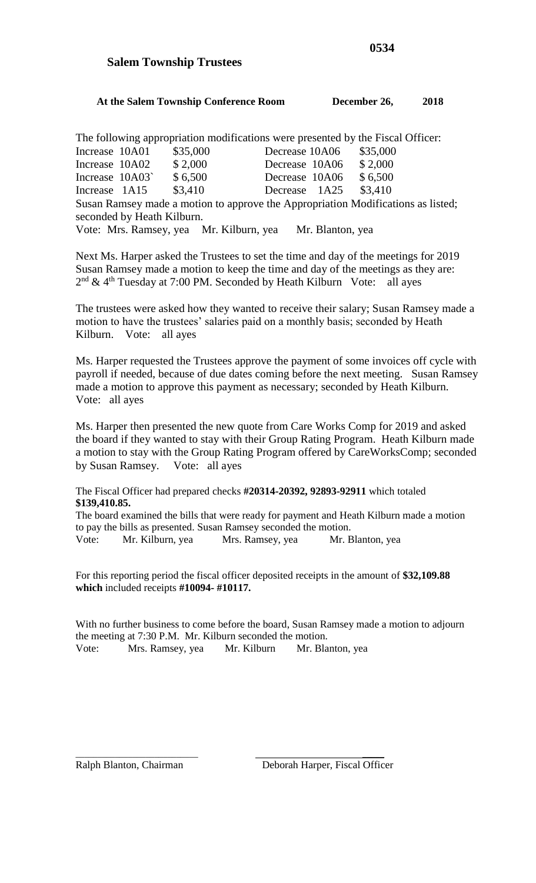## **Salem Township Trustees**

| At the Salem Township Conference Room | December 26, | 2018 |
|---------------------------------------|--------------|------|

The following appropriation modifications were presented by the Fiscal Officer: Increase 10A01 \$35,000 Decrease 10A06 \$35,000 Increase 10A02 \$ 2,000 Decrease 10A06 \$ 2,000 Increase 10A03` \$ 6,500 Decrease 10A06 \$ 6,500 Increase 1A15 \$3,410 Decrease 1A25 \$3,410 Susan Ramsey made a motion to approve the Appropriation Modifications as listed; seconded by Heath Kilburn. Vote: Mrs. Ramsey, yea Mr. Kilburn, yea Mr. Blanton, yea

Next Ms. Harper asked the Trustees to set the time and day of the meetings for 2019 Susan Ramsey made a motion to keep the time and day of the meetings as they are:  $2<sup>nd</sup>$  & 4<sup>th</sup> Tuesday at 7:00 PM. Seconded by Heath Kilburn Vote: all ayes

The trustees were asked how they wanted to receive their salary; Susan Ramsey made a motion to have the trustees' salaries paid on a monthly basis; seconded by Heath Kilburn. Vote: all ayes

Ms. Harper requested the Trustees approve the payment of some invoices off cycle with payroll if needed, because of due dates coming before the next meeting. Susan Ramsey made a motion to approve this payment as necessary; seconded by Heath Kilburn. Vote: all ayes

Ms. Harper then presented the new quote from Care Works Comp for 2019 and asked the board if they wanted to stay with their Group Rating Program. Heath Kilburn made a motion to stay with the Group Rating Program offered by CareWorksComp; seconded by Susan Ramsey. Vote: all ayes

The Fiscal Officer had prepared checks **#20314-20392, 92893-92911** which totaled **\$139,410.85.**

The board examined the bills that were ready for payment and Heath Kilburn made a motion to pay the bills as presented. Susan Ramsey seconded the motion. Vote: Mr. Kilburn, yea Mrs. Ramsey, yea Mr. Blanton, yea

For this reporting period the fiscal officer deposited receipts in the amount of **\$32,109.88 which** included receipts **#10094- #10117.**

With no further business to come before the board, Susan Ramsey made a motion to adjourn the meeting at 7:30 P.M. Mr. Kilburn seconded the motion. Vote: Mrs. Ramsey, yea Mr. Kilburn Mr. Blanton, yea

\_\_\_\_\_\_\_\_\_\_\_\_\_\_\_\_\_\_\_\_\_\_\_\_\_\_\_\_ \_\_\_\_\_ Ralph Blanton, Chairman Deborah Harper, Fiscal Officer